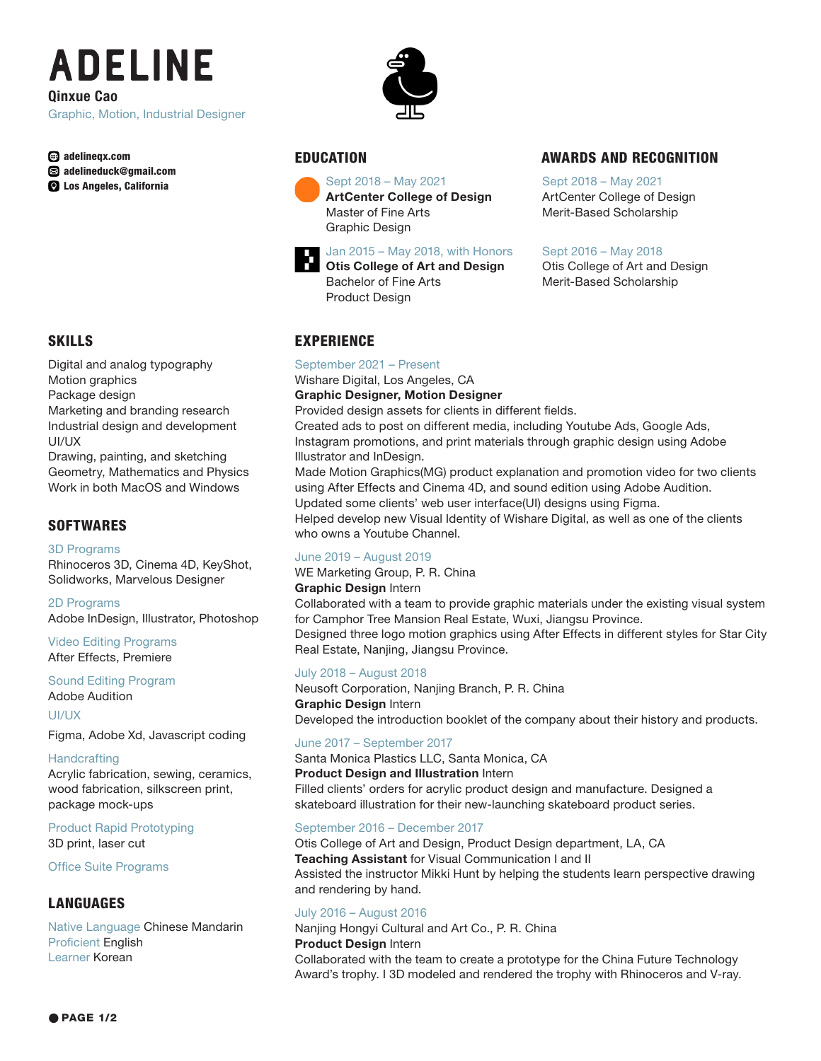# **ADELINE** Qinxue Cao

Graphic, Motion, Industrial Designer

adelineqx.com adelineduck@gmail.com **Q** Los Angeles, California



Digital and analog typography Motion graphics Package design Marketing and branding research Industrial design and development UI/UX

Drawing, painting, and sketching Geometry, Mathematics and Physics Work in both MacOS and Windows

# **SOFTWARES**

3D Programs Rhinoceros 3D, Cinema 4D, KeyShot, Solidworks, Marvelous Designer

2D Programs Adobe InDesign, Illustrator, Photoshop

Video Editing Programs After Effects, Premiere

#### Sound Editing Program

Adobe Audition

UI/UX

Figma, Adobe Xd, Javascript coding

#### **Handcrafting**

Acrylic fabrication, sewing, ceramics, wood fabrication, silkscreen print, package mock-ups

Product Rapid Prototyping 3D print, laser cut

Office Suite Programs

# LANGUAGES

Native Language Chinese Mandarin Proficient English Learner Korean





Sept 2018 – May 2021 ArtCenter College of Design Master of Fine Arts Graphic Design



# EDUCATION AWARDS AND RECOGNITION

Sept 2018 – May 2021 ArtCenter College of Design Merit-Based Scholarship

## Sept 2016 – May 2018

Otis College of Art and Design Merit-Based Scholarship

# **EXPERIENCE**

September 2021 – Present

Product Design

Wishare Digital, Los Angeles, CA Graphic Designer, Motion Designer

Provided design assets for clients in different fields.

Created ads to post on different media, including Youtube Ads, Google Ads, Instagram promotions, and print materials through graphic design using Adobe Illustrator and InDesign.

Made Motion Graphics(MG) product explanation and promotion video for two clients using After Effects and Cinema 4D, and sound edition using Adobe Audition. Updated some clients' web user interface(UI) designs using Figma. Helped develop new Visual Identity of Wishare Digital, as well as one of the clients who owns a Youtube Channel.

# June 2019 – August 2019

WE Marketing Group, P. R. China

**Graphic Design Intern** 

Collaborated with a team to provide graphic materials under the existing visual system for Camphor Tree Mansion Real Estate, Wuxi, Jiangsu Province.

Designed three logo motion graphics using After Effects in different styles for Star City Real Estate, Nanjing, Jiangsu Province.

### July 2018 – August 2018

Neusoft Corporation, Nanjing Branch, P. R. China Graphic Design Intern Developed the introduction booklet of the company about their history and products.

### June 2017 – September 2017

Santa Monica Plastics LLC, Santa Monica, CA

**Product Design and Illustration Intern** Filled clients' orders for acrylic product design and manufacture. Designed a

skateboard illustration for their new-launching skateboard product series.

### September 2016 – December 2017

Otis College of Art and Design, Product Design department, LA, CA **Teaching Assistant** for Visual Communication I and II Assisted the instructor Mikki Hunt by helping the students learn perspective drawing and rendering by hand.

### July 2016 – August 2016

Nanjing Hongyi Cultural and Art Co., P. R. China Product Design Intern Collaborated with the team to create a prototype for the China Future Technology Award's trophy. I 3D modeled and rendered the trophy with Rhinoceros and V-ray.